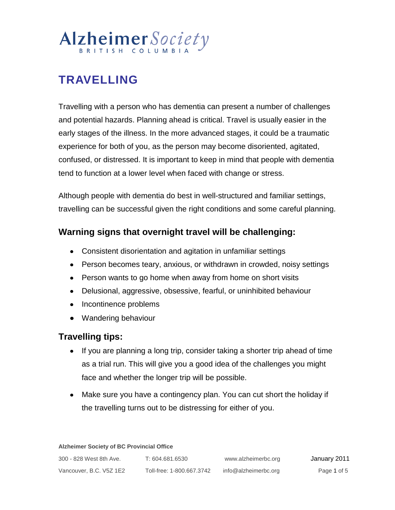# Alzheimer Society

# **TRAVELLING**

Travelling with a person who has dementia can present a number of challenges and potential hazards. Planning ahead is critical. Travel is usually easier in the early stages of the illness. In the more advanced stages, it could be a traumatic experience for both of you, as the person may become disoriented, agitated, confused, or distressed. It is important to keep in mind that people with dementia tend to function at a lower level when faced with change or stress.

Although people with dementia do best in well-structured and familiar settings, travelling can be successful given the right conditions and some careful planning.

### **Warning signs that overnight travel will be challenging:**

- Consistent disorientation and agitation in unfamiliar settings
- Person becomes teary, anxious, or withdrawn in crowded, noisy settings
- Person wants to go home when away from home on short visits
- Delusional, aggressive, obsessive, fearful, or uninhibited behaviour
- Incontinence problems
- Wandering behaviour

### **Travelling tips:**

- If you are planning a long trip, consider taking a shorter trip ahead of time as a trial run. This will give you a good idea of the challenges you might face and whether the longer trip will be possible.
- Make sure you have a contingency plan. You can cut short the holiday if the travelling turns out to be distressing for either of you.

| 300 - 828 West 8th Ave. | T: 604.681.6530           | www.alzheimerbc.org  | January 2011 |
|-------------------------|---------------------------|----------------------|--------------|
| Vancouver, B.C. V5Z 1E2 | Toll-free: 1-800.667.3742 | info@alzheimerbc.org | Page 1 of 5  |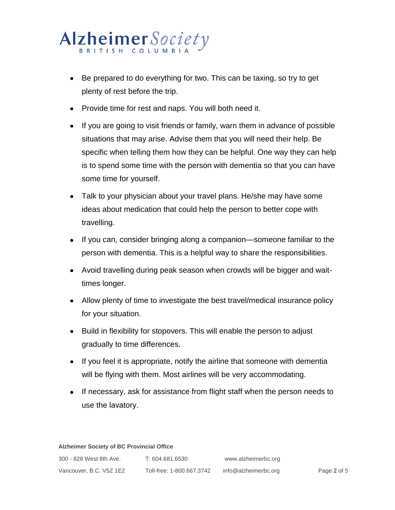## Alzheimer Society BRITISH COLUMBI

- Be prepared to do everything for two. This can be taxing, so try to get plenty of rest before the trip.
- Provide time for rest and naps. You will both need it.
- If you are going to visit friends or family, warn them in advance of possible situations that may arise. Advise them that you will need their help. Be specific when telling them how they can be helpful. One way they can help is to spend some time with the person with dementia so that you can have some time for yourself.
- Talk to your physician about your travel plans. He/she may have some ideas about medication that could help the person to better cope with travelling.
- If you can, consider bringing along a companion—someone familiar to the person with dementia. This is a helpful way to share the responsibilities.
- Avoid travelling during peak season when crowds will be bigger and waittimes longer.
- Allow plenty of time to investigate the best travel/medical insurance policy for your situation.
- Build in flexibility for stopovers. This will enable the person to adjust gradually to time differences.
- If you feel it is appropriate, notify the airline that someone with dementia will be flying with them. Most airlines will be very accommodating.
- If necessary, ask for assistance from flight staff when the person needs to use the lavatory.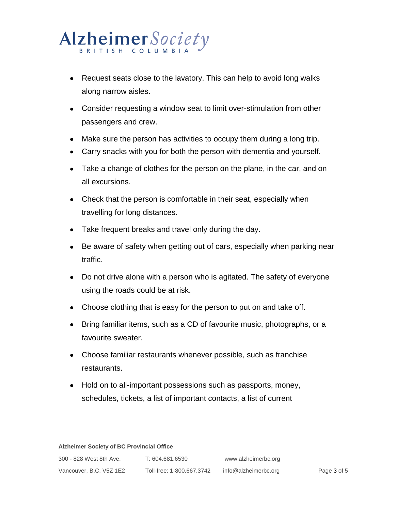## Alzheimer Society BRITISH COLUMBI

- Request seats close to the lavatory. This can help to avoid long walks along narrow aisles.
- Consider requesting a window seat to limit over-stimulation from other passengers and crew.
- Make sure the person has activities to occupy them during a long trip.
- Carry snacks with you for both the person with dementia and yourself.
- Take a change of clothes for the person on the plane, in the car, and on all excursions.
- Check that the person is comfortable in their seat, especially when travelling for long distances.
- Take frequent breaks and travel only during the day.
- Be aware of safety when getting out of cars, especially when parking near traffic.
- Do not drive alone with a person who is agitated. The safety of everyone using the roads could be at risk.
- Choose clothing that is easy for the person to put on and take off.
- Bring familiar items, such as a CD of favourite music, photographs, or a favourite sweater.
- Choose familiar restaurants whenever possible, such as franchise restaurants.
- Hold on to all-important possessions such as passports, money, schedules, tickets, a list of important contacts, a list of current

| 300 - 828 West 8th Ave. | T: 604.681.6530           | www.alzheimerbc.org  |             |
|-------------------------|---------------------------|----------------------|-------------|
| Vancouver, B.C. V5Z 1E2 | Toll-free: 1-800.667.3742 | info@alzheimerbc.org | Page 3 of 5 |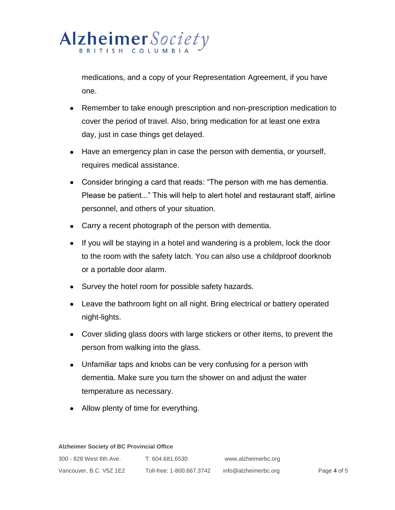### Alzheimer Society BRITISH COLUMBI

medications, and a copy of your Representation Agreement, if you have one.

- Remember to take enough prescription and non-prescription medication to cover the period of travel. Also, bring medication for at least one extra day, just in case things get delayed.
- Have an emergency plan in case the person with dementia, or yourself, requires medical assistance.
- Consider bringing a card that reads: "The person with me has dementia. Please be patient..." This will help to alert hotel and restaurant staff, airline personnel, and others of your situation.
- Carry a recent photograph of the person with dementia.
- If you will be staying in a hotel and wandering is a problem, lock the door to the room with the safety latch. You can also use a childproof doorknob or a portable door alarm.
- Survey the hotel room for possible safety hazards.
- Leave the bathroom light on all night. Bring electrical or battery operated night-lights.
- Cover sliding glass doors with large stickers or other items, to prevent the person from walking into the glass.
- Unfamiliar taps and knobs can be very confusing for a person with dementia. Make sure you turn the shower on and adjust the water temperature as necessary.
- Allow plenty of time for everything.

| 300 - 828 West 8th Ave. | T: 604.681.6530           | www.alzheimerbc.org  |             |
|-------------------------|---------------------------|----------------------|-------------|
| Vancouver, B.C. V5Z 1E2 | Toll-free: 1-800.667.3742 | info@alzheimerbc.org | Page 4 of 5 |